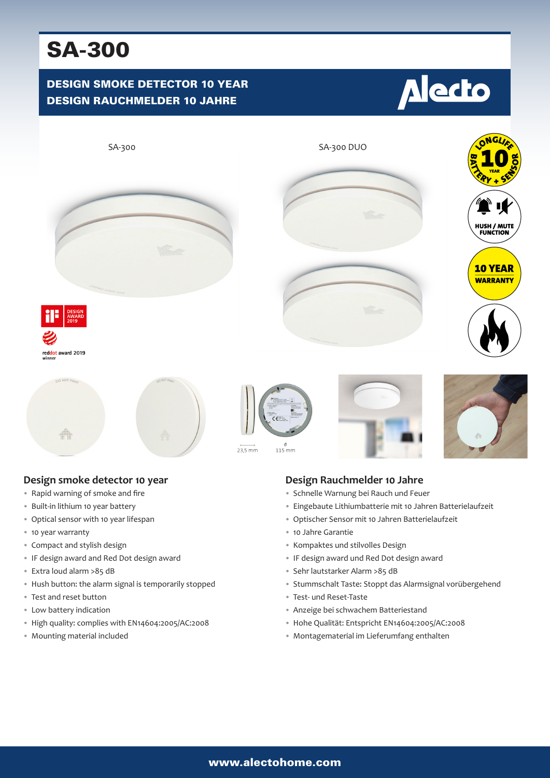# SA-300

# DESIGN SMOKE DETECTOR 10 YEAR DESIGN RAUCHMELDER 10 JAHRE





### **Design smoke detector 10 year**

- Rapid warning of smoke and fire
- Built-in lithium 10 year battery
- Optical sensor with 10 year lifespan
- 10 year warranty
- Compact and stylish design
- IF design award and Red Dot design award
- Extra loud alarm >85 dB
- Hush button: the alarm signal is temporarily stopped
- Test and reset button
- Low battery indication
- High quality: complies with EN14604:2005/AC:2008
- Mounting material included

## **Design Rauchmelder 10 Jahre**

- Schnelle Warnung bei Rauch und Feuer
- Eingebaute Lithiumbatterie mit 10 Jahren Batterielaufzeit
- Optischer Sensor mit 10 Jahren Batterielaufzeit
- 10 Jahre Garantie
- Kompaktes und stilvolles Design
- IF design award und Red Dot design award
- Sehr lautstarker Alarm >85 dB
- Stummschalt Taste: Stoppt das Alarmsignal vorübergehend
- Test- und Reset-Taste
- Anzeige bei schwachem Batteriestand
- Hohe Qualität: Entspricht EN14604:2005/AC:2008
- Montagematerial im Lieferumfang enthalten